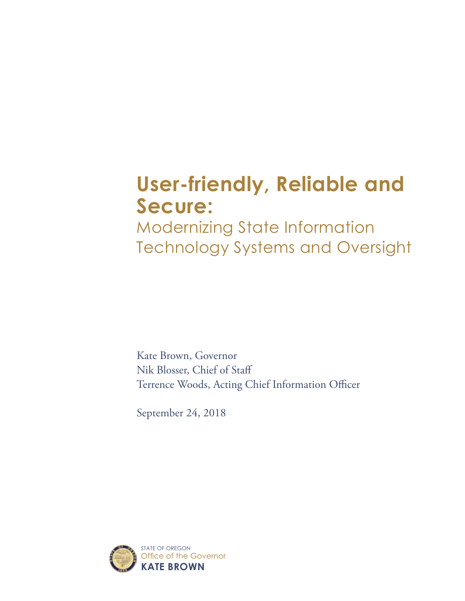# **User-friendly, Reliable and Secure:**

Modernizing State Information Technology Systems and Oversight

Kate Brown, Governor Nik Blosser, Chief of Staff Terrence Woods, Acting Chief Information Officer

September 24, 2018

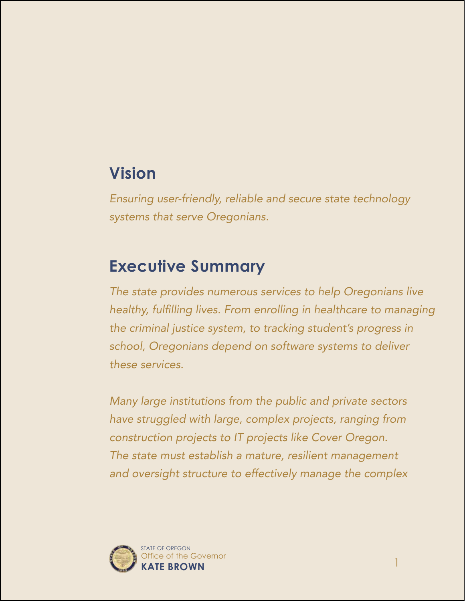# **Vision**

*Ensuring user-friendly, reliable and secure state technology systems that serve Oregonians.*

# **Executive Summary**

*The state provides numerous services to help Oregonians live*  healthy, fulfilling lives. From enrolling in healthcare to managing *the criminal justice system, to tracking student's progress in school, Oregonians depend on software systems to deliver these services.*

*Many large institutions from the public and private sectors have struggled with large, complex projects, ranging from construction projects to IT projects like Cover Oregon. The state must establish a mature, resilient management and oversight structure to effectively manage the complex* 

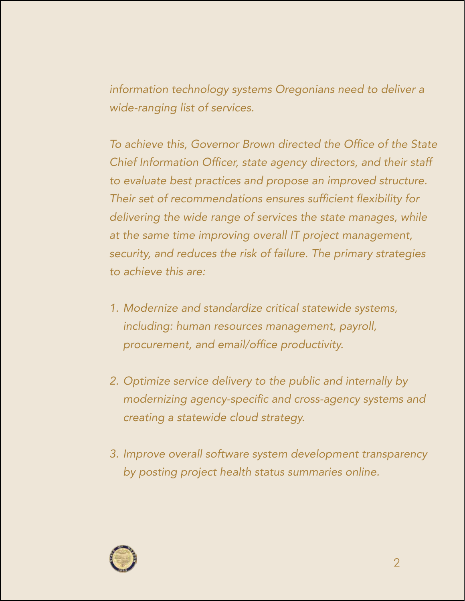*information technology systems Oregonians need to deliver a wide-ranging list of services.* 

To achieve this, Governor Brown directed the Office of the State Chief Information Officer, state agency directors, and their staff *to evaluate best practices and propose an improved structure.*  Their set of recommendations ensures sufficient flexibility for *delivering the wide range of services the state manages, while at the same time improving overall IT project management, security, and reduces the risk of failure. The primary strategies to achieve this are:*

- *1. Modernize and standardize critical statewide systems, including: human resources management, payroll,*  procurement, and email/office productivity.
- *2. Optimize service delivery to the public and internally by*  modernizing agency-specific and cross-agency systems and *creating a statewide cloud strategy.*
- *3. Improve overall software system development transparency by posting project health status summaries online.*

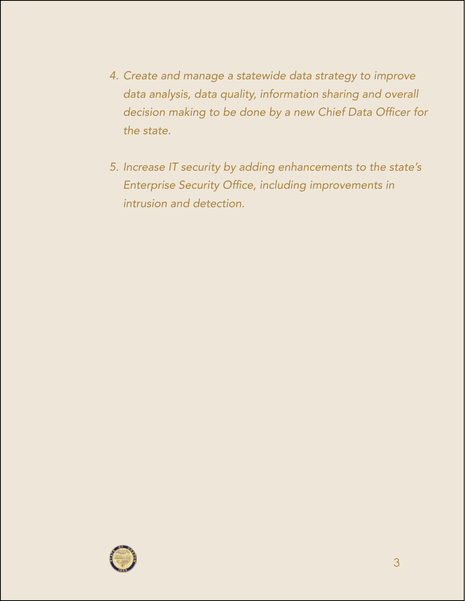- *4. Create and manage a statewide data strategy to improve data analysis, data quality, information sharing and overall*  decision making to be done by a new Chief Data Officer for *the state.*
- *5. Increase IT security by adding enhancements to the state's*  Enterprise Security Office, including improvements in *intrusion and detection.*

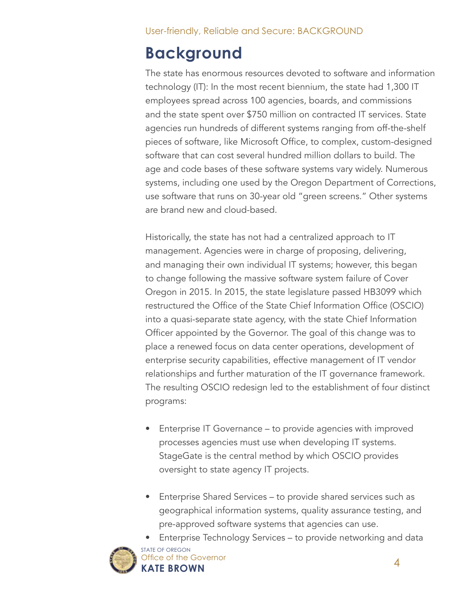# **Background**

The state has enormous resources devoted to software and information technology (IT): In the most recent biennium, the state had 1,300 IT employees spread across 100 agencies, boards, and commissions and the state spent over \$750 million on contracted IT services. State agencies run hundreds of different systems ranging from off-the-shelf pieces of software, like Microsoft Office, to complex, custom-designed software that can cost several hundred million dollars to build. The age and code bases of these software systems vary widely. Numerous systems, including one used by the Oregon Department of Corrections, use software that runs on 30-year old "green screens." Other systems are brand new and cloud-based.

Historically, the state has not had a centralized approach to IT management. Agencies were in charge of proposing, delivering, and managing their own individual IT systems; however, this began to change following the massive software system failure of Cover Oregon in 2015. In 2015, the state legislature passed HB3099 which restructured the Office of the State Chief Information Office (OSCIO) into a quasi-separate state agency, with the state Chief Information Officer appointed by the Governor. The goal of this change was to place a renewed focus on data center operations, development of enterprise security capabilities, effective management of IT vendor relationships and further maturation of the IT governance framework. The resulting OSCIO redesign led to the establishment of four distinct programs:

- Enterprise IT Governance to provide agencies with improved processes agencies must use when developing IT systems. StageGate is the central method by which OSCIO provides oversight to state agency IT projects.
- Enterprise Shared Services to provide shared services such as geographical information systems, quality assurance testing, and pre-approved software systems that agencies can use.





STATE OF OREGON **KATE BROWN** Office of the Governor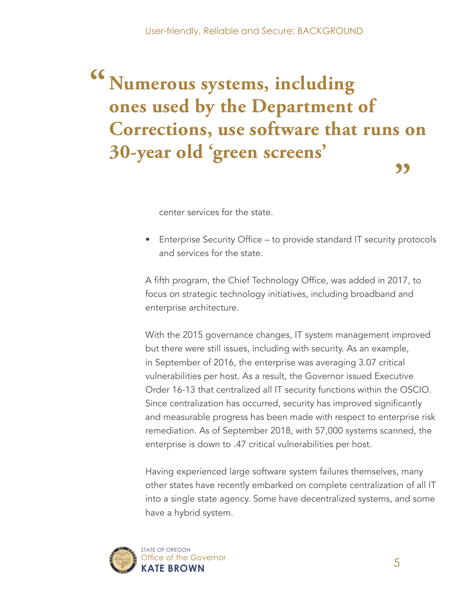## **Numerous systems, including ones used by the Department of Corrections, use software that runs on 30-year old 'green screens' " "**

center services for the state.

• Enterprise Security Office – to provide standard IT security protocols and services for the state.

A fifth program, the Chief Technology Office, was added in 2017, to focus on strategic technology initiatives, including broadband and enterprise architecture.

With the 2015 governance changes, IT system management improved but there were still issues, including with security. As an example, in September of 2016, the enterprise was averaging 3.07 critical vulnerabilities per host. As a result, the Governor issued Executive Order 16-13 that centralized all IT security functions within the OSCIO. Since centralization has occurred, security has improved significantly and measurable progress has been made with respect to enterprise risk remediation. As of September 2018, with 57,000 systems scanned, the enterprise is down to .47 critical vulnerabilities per host.

Having experienced large software system failures themselves, many other states have recently embarked on complete centralization of all IT into a single state agency. Some have decentralized systems, and some have a hybrid system.

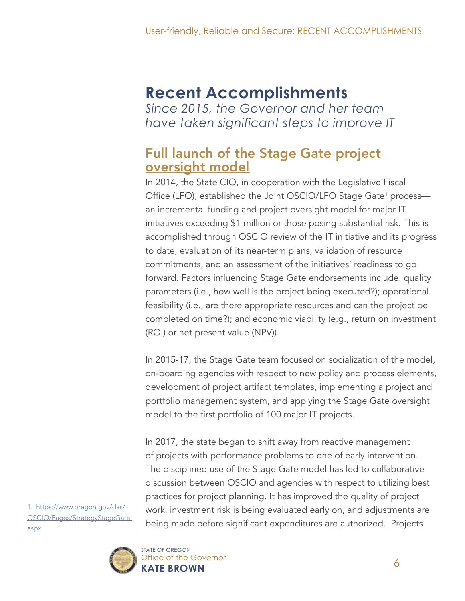#### **Recent Accomplishments** *Since 2015, the Governor and her team have taken significant steps to improve IT*

#### **Full launch of the Stage Gate project** oversight model

In 2014, the State CIO, in cooperation with the Legislative Fiscal Office (LFO), established the Joint OSCIO/LFO Stage Gate<sup>1</sup> process an incremental funding and project oversight model for major IT initiatives exceeding \$1 million or those posing substantial risk. This is accomplished through OSCIO review of the IT initiative and its progress to date, evaluation of its near-term plans, validation of resource commitments, and an assessment of the initiatives' readiness to go forward. Factors influencing Stage Gate endorsements include: quality parameters (i.e., how well is the project being executed?); operational feasibility (i.e., are there appropriate resources and can the project be completed on time?); and economic viability (e.g., return on investment (ROI) or net present value (NPV)).

In 2015-17, the Stage Gate team focused on socialization of the model, on-boarding agencies with respect to new policy and process elements, development of project artifact templates, implementing a project and portfolio management system, and applying the Stage Gate oversight model to the first portfolio of 100 major IT projects.

In 2017, the state began to shift away from reactive management of projects with performance problems to one of early intervention. The disciplined use of the Stage Gate model has led to collaborative discussion between OSCIO and agencies with respect to utilizing best practices for project planning. It has improved the quality of project work, investment risk is being evaluated early on, and adjustments are being made before significant expenditures are authorized. Projects

1. [https://www.oregon.gov/das/](https://www.oregon.gov/das/OSCIO/Pages/StrategyStageGate.aspx) [OSCIO/Pages/StrategyStageGate.](https://www.oregon.gov/das/OSCIO/Pages/StrategyStageGate.aspx) [aspx](https://www.oregon.gov/das/OSCIO/Pages/StrategyStageGate.aspx)

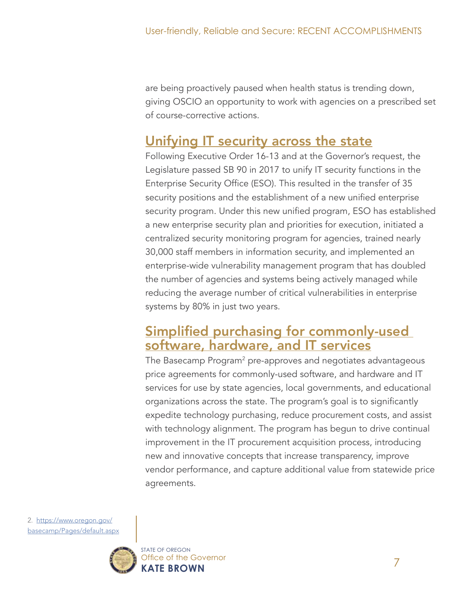are being proactively paused when health status is trending down, giving OSCIO an opportunity to work with agencies on a prescribed set of course-corrective actions.

### Unifying IT security across the state

Following Executive Order 16-13 and at the Governor's request, the Legislature passed SB 90 in 2017 to unify IT security functions in the Enterprise Security Office (ESO). This resulted in the transfer of 35 security positions and the establishment of a new unified enterprise security program. Under this new unified program, ESO has established a new enterprise security plan and priorities for execution, initiated a centralized security monitoring program for agencies, trained nearly 30,000 staff members in information security, and implemented an enterprise-wide vulnerability management program that has doubled the number of agencies and systems being actively managed while reducing the average number of critical vulnerabilities in enterprise systems by 80% in just two years.

#### Simplified purchasing for commonly-used software, hardware, and IT services

The Basecamp Program<sup>2</sup> pre-approves and negotiates advantageous price agreements for commonly-used software, and hardware and IT services for use by state agencies, local governments, and educational organizations across the state. The program's goal is to significantly expedite technology purchasing, reduce procurement costs, and assist with technology alignment. The program has begun to drive continual improvement in the IT procurement acquisition process, introducing new and innovative concepts that increase transparency, improve vendor performance, and capture additional value from statewide price agreements.

2. [https://www.oregon.gov/](https://www.oregon.gov/basecamp/Pages/default.aspx) [basecamp/Pages/default.aspx](https://www.oregon.gov/basecamp/Pages/default.aspx)

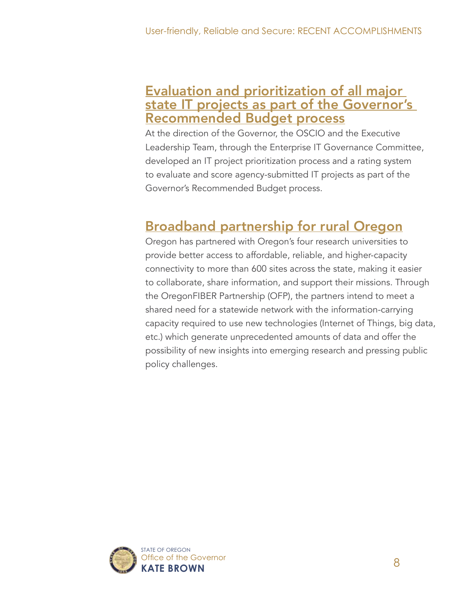#### Evaluation and prioritization of all major state IT projects as part of the Governor's Recommended Budget process

At the direction of the Governor, the OSCIO and the Executive Leadership Team, through the Enterprise IT Governance Committee, developed an IT project prioritization process and a rating system to evaluate and score agency-submitted IT projects as part of the Governor's Recommended Budget process.

### Broadband partnership for rural Oregon

Oregon has partnered with Oregon's four research universities to provide better access to affordable, reliable, and higher-capacity connectivity to more than 600 sites across the state, making it easier to collaborate, share information, and support their missions. Through the OregonFIBER Partnership (OFP), the partners intend to meet a shared need for a statewide network with the information-carrying capacity required to use new technologies (Internet of Things, big data, etc.) which generate unprecedented amounts of data and offer the possibility of new insights into emerging research and pressing public policy challenges.

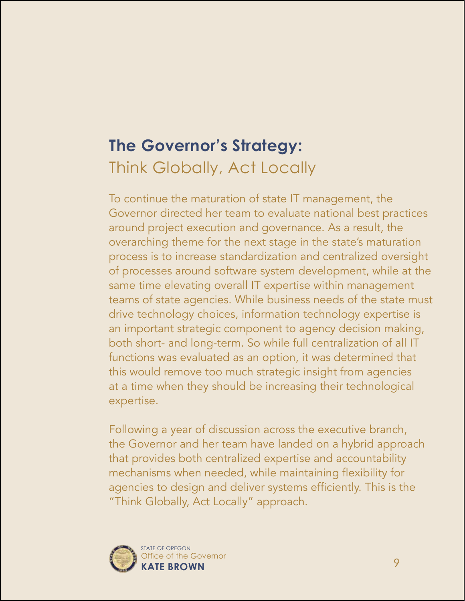# **The Governor's Strategy:**  Think Globally, Act Locally

To continue the maturation of state IT management, the Governor directed her team to evaluate national best practices around project execution and governance. As a result, the overarching theme for the next stage in the state's maturation process is to increase standardization and centralized oversight of processes around software system development, while at the same time elevating overall IT expertise within management teams of state agencies. While business needs of the state must drive technology choices, information technology expertise is an important strategic component to agency decision making, both short- and long-term. So while full centralization of all IT functions was evaluated as an option, it was determined that this would remove too much strategic insight from agencies at a time when they should be increasing their technological expertise.

Following a year of discussion across the executive branch, the Governor and her team have landed on a hybrid approach that provides both centralized expertise and accountability mechanisms when needed, while maintaining flexibility for agencies to design and deliver systems efficiently. This is the "Think Globally, Act Locally" approach.

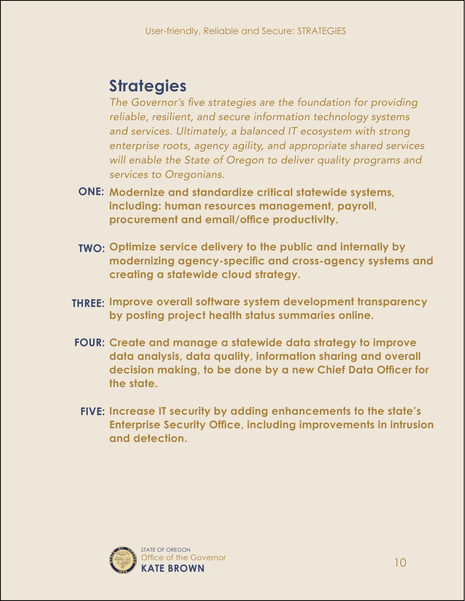# **Strategies**

The Governor's five strategies are the foundation for providing *reliable, resilient, and secure information technology systems and services. Ultimately, a balanced IT ecosystem with strong enterprise roots, agency agility, and appropriate shared services*  will enable the State of Oregon to deliver quality programs and *services to Oregonians.* 

- **ONE: Modernize and standardize critical statewide systems, including: human resources management, payroll, procurement and email/office productivity.**
- **TWO: Optimize service delivery to the public and internally by modernizing agency-specific and cross-agency systems and creating a statewide cloud strategy.**
- **THREE: Improve overall software system development transparency by posting project health status summaries online.**
- **FOUR: Create and manage a statewide data strategy to improve data analysis, data quality, information sharing and overall decision making, to be done by a new Chief Data Officer for the state.**
- **FIVE: Increase IT security by adding enhancements to the state's Enterprise Security Office, including improvements in intrusion and detection.**

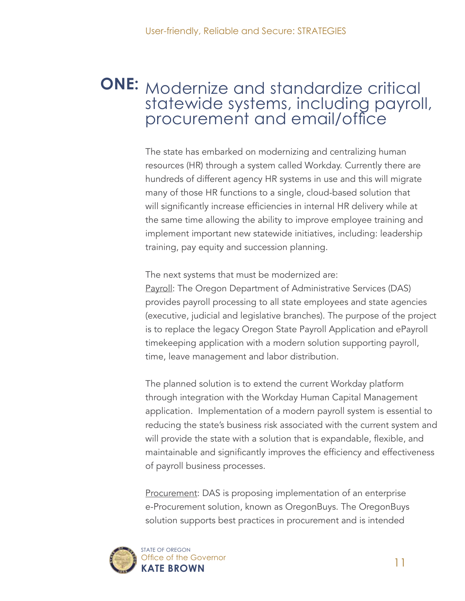## **ONE:** Modernize and standardize critical statewide systems, including payroll, procurement and email/office

The state has embarked on modernizing and centralizing human resources (HR) through a system called Workday. Currently there are hundreds of different agency HR systems in use and this will migrate many of those HR functions to a single, cloud-based solution that will significantly increase efficiencies in internal HR delivery while at the same time allowing the ability to improve employee training and implement important new statewide initiatives, including: leadership training, pay equity and succession planning.

The next systems that must be modernized are:

Payroll: The Oregon Department of Administrative Services (DAS) provides payroll processing to all state employees and state agencies (executive, judicial and legislative branches). The purpose of the project is to replace the legacy Oregon State Payroll Application and ePayroll timekeeping application with a modern solution supporting payroll, time, leave management and labor distribution.

The planned solution is to extend the current Workday platform through integration with the Workday Human Capital Management application. Implementation of a modern payroll system is essential to reducing the state's business risk associated with the current system and will provide the state with a solution that is expandable, flexible, and maintainable and significantly improves the efficiency and effectiveness of payroll business processes.

Procurement: DAS is proposing implementation of an enterprise e-Procurement solution, known as OregonBuys. The OregonBuys solution supports best practices in procurement and is intended

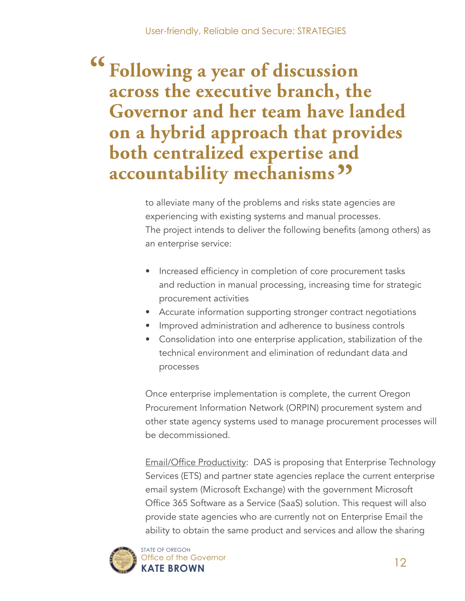# **Following a year of discussion across the executive branch, the Governor and her team have landed on a hybrid approach that provides both centralized expertise and accountability mechanisms" "**

to alleviate many of the problems and risks state agencies are experiencing with existing systems and manual processes. The project intends to deliver the following benefits (among others) as an enterprise service:

- Increased efficiency in completion of core procurement tasks and reduction in manual processing, increasing time for strategic procurement activities
- Accurate information supporting stronger contract negotiations
- Improved administration and adherence to business controls
- Consolidation into one enterprise application, stabilization of the technical environment and elimination of redundant data and processes

Once enterprise implementation is complete, the current Oregon Procurement Information Network (ORPIN) procurement system and other state agency systems used to manage procurement processes will be decommissioned.

Email/Office Productivity: DAS is proposing that Enterprise Technology Services (ETS) and partner state agencies replace the current enterprise email system (Microsoft Exchange) with the government Microsoft Office 365 Software as a Service (SaaS) solution. This request will also provide state agencies who are currently not on Enterprise Email the ability to obtain the same product and services and allow the sharing



STATE OF OREGON **KATE BROWN** Office of the Governor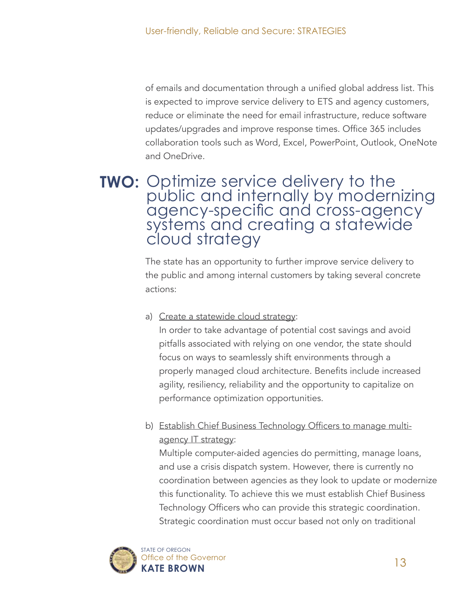of emails and documentation through a unified global address list. This is expected to improve service delivery to ETS and agency customers, reduce or eliminate the need for email infrastructure, reduce software updates/upgrades and improve response times. Office 365 includes collaboration tools such as Word, Excel, PowerPoint, Outlook, OneNote and OneDrive.

#### **TWO:** Optimize service delivery to the public and internally by modernizing agency-specific and cross-agency systems and creating a statewide cloud strategy

The state has an opportunity to further improve service delivery to the public and among internal customers by taking several concrete actions:

#### a) Create a statewide cloud strategy:

In order to take advantage of potential cost savings and avoid pitfalls associated with relying on one vendor, the state should focus on ways to seamlessly shift environments through a properly managed cloud architecture. Benefits include increased agility, resiliency, reliability and the opportunity to capitalize on performance optimization opportunities.

b) Establish Chief Business Technology Officers to manage multiagency IT strategy:

Multiple computer-aided agencies do permitting, manage loans, and use a crisis dispatch system. However, there is currently no coordination between agencies as they look to update or modernize this functionality. To achieve this we must establish Chief Business Technology Officers who can provide this strategic coordination. Strategic coordination must occur based not only on traditional

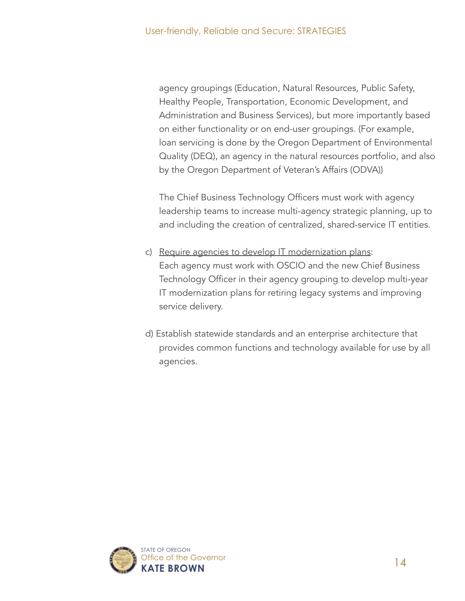agency groupings (Education, Natural Resources, Public Safety, Healthy People, Transportation, Economic Development, and Administration and Business Services), but more importantly based on either functionality or on end-user groupings. (For example, loan servicing is done by the Oregon Department of Environmental Quality (DEQ), an agency in the natural resources portfolio, and also by the Oregon Department of Veteran's Affairs (ODVA))

The Chief Business Technology Officers must work with agency leadership teams to increase multi-agency strategic planning, up to and including the creation of centralized, shared-service IT entities.

- c) Require agencies to develop IT modernization plans: Each agency must work with OSCIO and the new Chief Business Technology Officer in their agency grouping to develop multi-year IT modernization plans for retiring legacy systems and improving service delivery.
- d) Establish statewide standards and an enterprise architecture that provides common functions and technology available for use by all agencies.

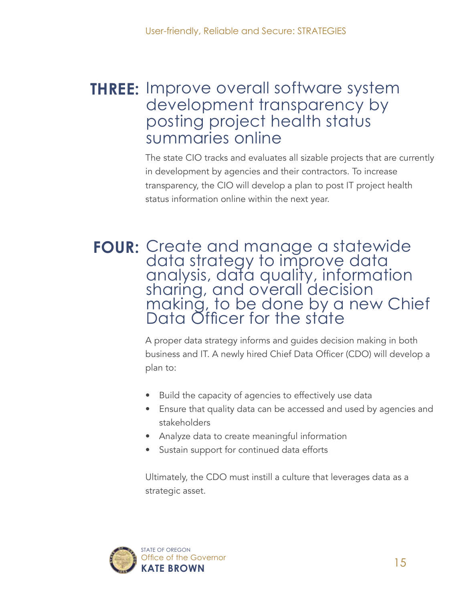### **THREE:** Improve overall software system development transparency by posting project health status summaries online

The state CIO tracks and evaluates all sizable projects that are currently in development by agencies and their contractors. To increase transparency, the CIO will develop a plan to post IT project health status information online within the next year.

#### FOUR: Create and manage a statewide data strategy to improve data analysis, data quality, information sharing, and overall decision making, to be done by a new Chief Data Officer for the state

A proper data strategy informs and guides decision making in both business and IT. A newly hired Chief Data Officer (CDO) will develop a plan to:

- Build the capacity of agencies to effectively use data
- Ensure that quality data can be accessed and used by agencies and stakeholders
- Analyze data to create meaningful information
- Sustain support for continued data efforts

Ultimately, the CDO must instill a culture that leverages data as a strategic asset.